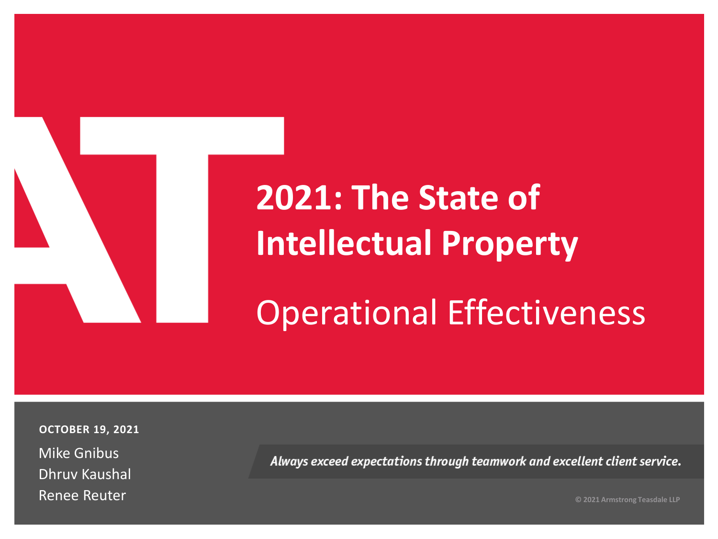

# **2021: The State of Intellectual Property**

Operational Effectiveness

**OCTOBER 19, 2021**

Mike Gnibus Dhruv Kaushal Renee Reuter

Always exceed expectations through teamwork and excellent client service.

**© 2021 Armstrong Teasdale LLP**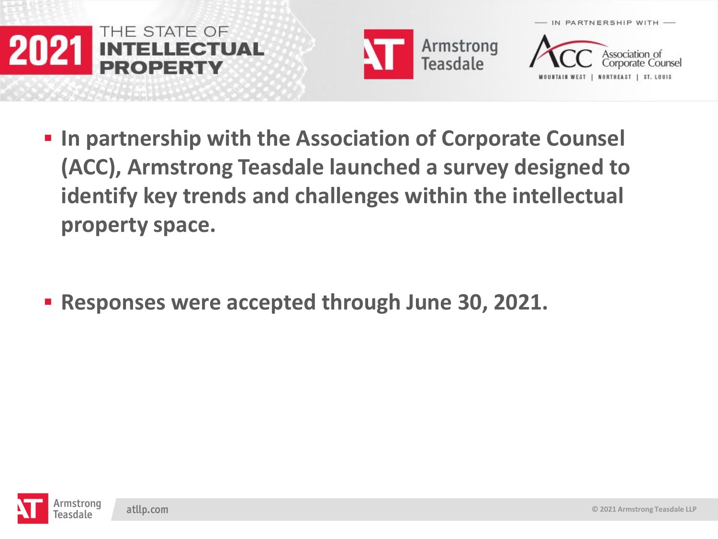





- $\blacksquare$  **In partnership with the Association of Corporate Counsel (ACC), Armstrong Teasdale launched a survey designed to identify key trends and challenges within the intellectual property space.**
- **Responses were accepted through June 30, 2021.**

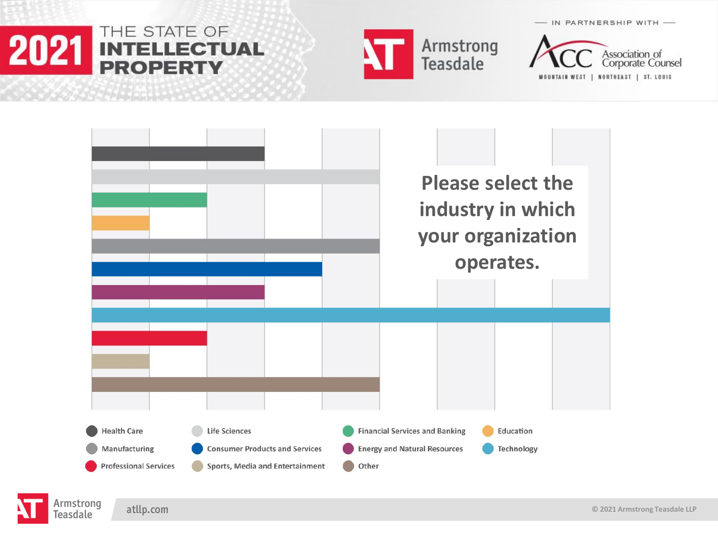#### THE STATE OF 2021 **INTELLECTUAL PROPERTY**



Association of<br>Corporate Counsel

IN PARTNERSHIP WITH -

NORTHEAST | ST. LOUIS **MOUNTAIN WEST** 



atllp.com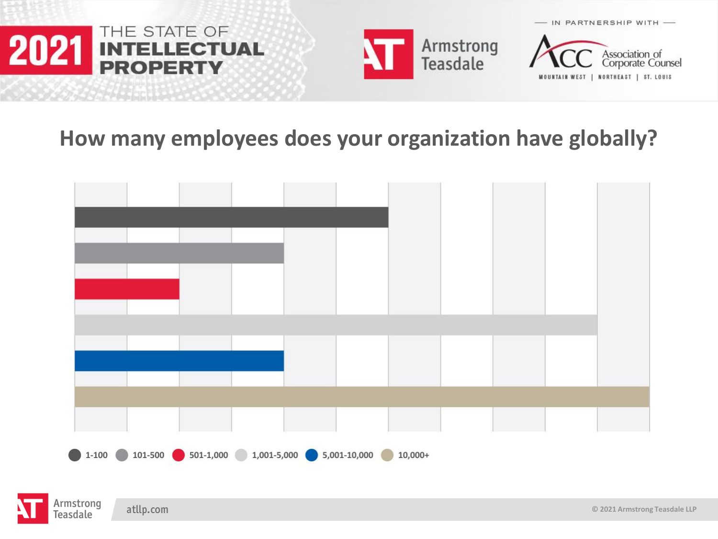





#### **How many employees does your organization have globally?**





atllp.com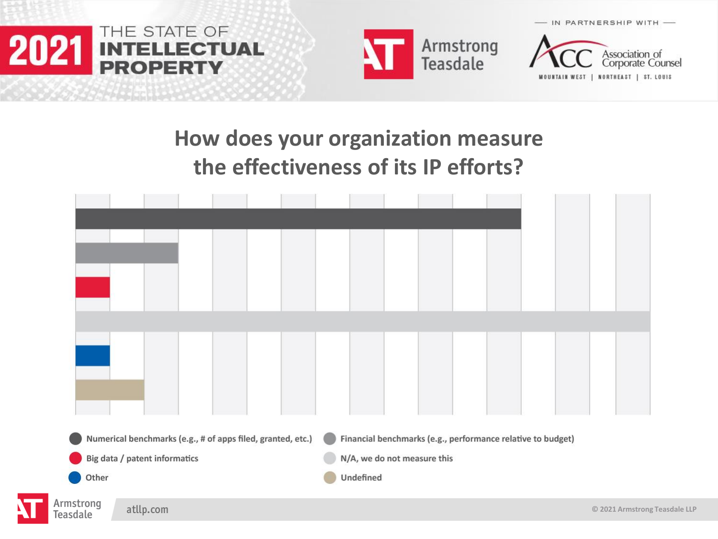

leas





#### **How does your organization measure the effectiveness of its IP efforts?**

|                                    | Numerical benchmarks (e.g., # of apps filed, granted, etc.) |  |  |  |  |                             |           |  |  |  | Financial benchmarks (e.g., performance relative to budget) |  |  |  |                               |  |
|------------------------------------|-------------------------------------------------------------|--|--|--|--|-----------------------------|-----------|--|--|--|-------------------------------------------------------------|--|--|--|-------------------------------|--|
| Big data / patent informatics      |                                                             |  |  |  |  | N/A, we do not measure this |           |  |  |  |                                                             |  |  |  |                               |  |
| Other                              |                                                             |  |  |  |  |                             | Undefined |  |  |  |                                                             |  |  |  |                               |  |
| Armstrong<br>atllp.com<br>easdale. |                                                             |  |  |  |  |                             |           |  |  |  |                                                             |  |  |  | © 2021 Armstrong Teasdale LLP |  |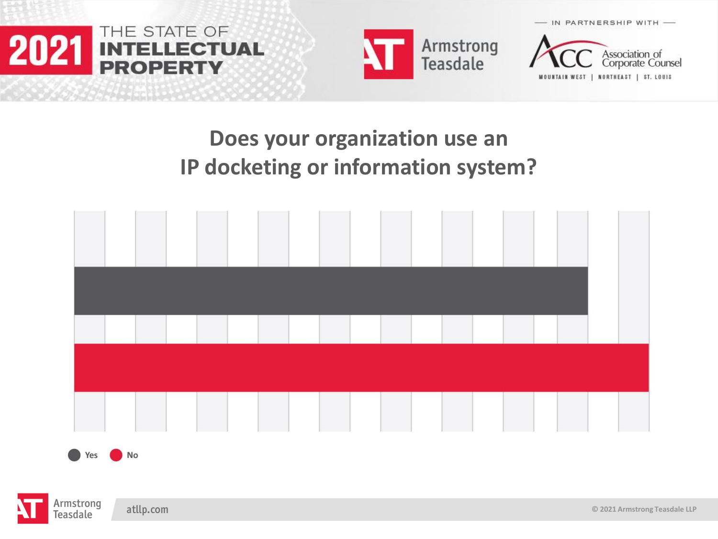





### **Does your organization use an IP docketing or information system?**



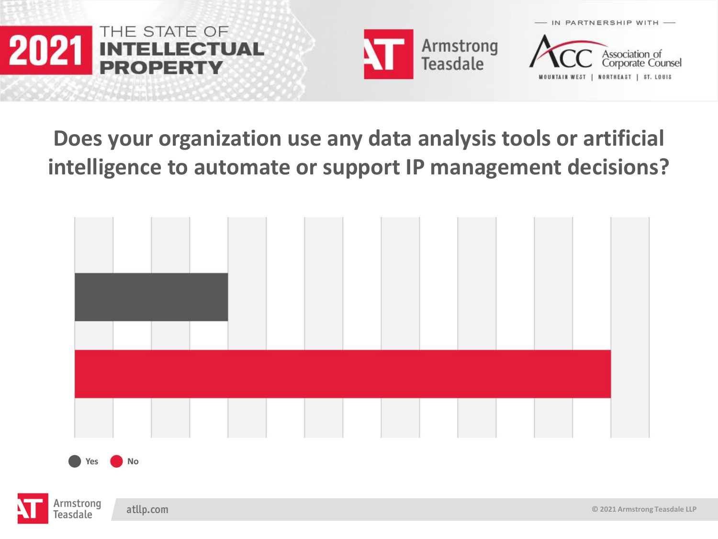





#### **Does your organization use any data analysis tools or artificial intelligence to automate or support IP management decisions?**



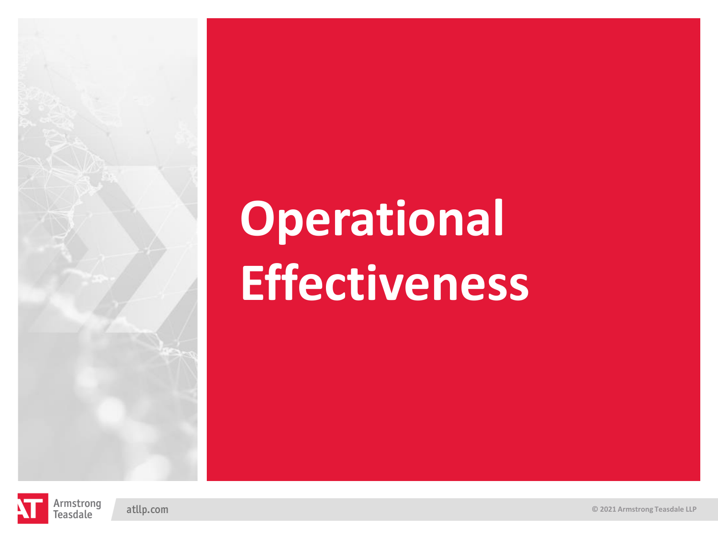# **Operational Effectiveness**

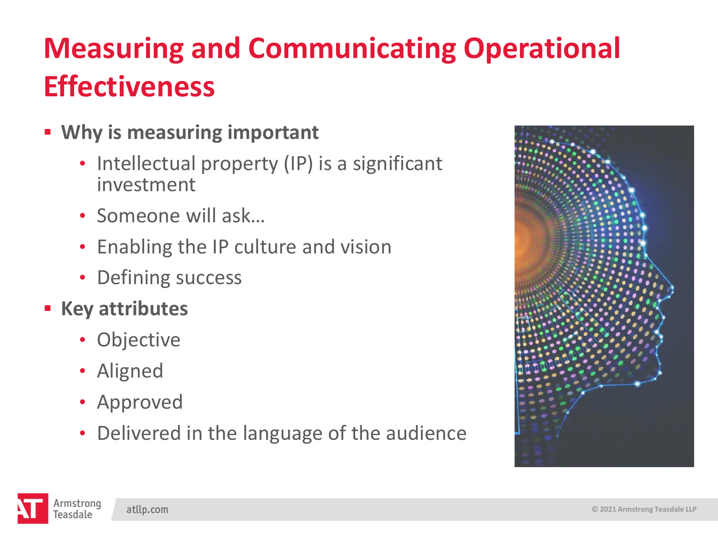### **Measuring and Communicating Operational Effectiveness**

- **Why is measuring important**
	- Intellectual property (IP) is a significant investment
	- Someone will ask…
	- Enabling the IP culture and vision
	- Defining success
- **Key attributes**
	- Objective
	- Aligned
	- Approved
	- Delivered in the language of the audience



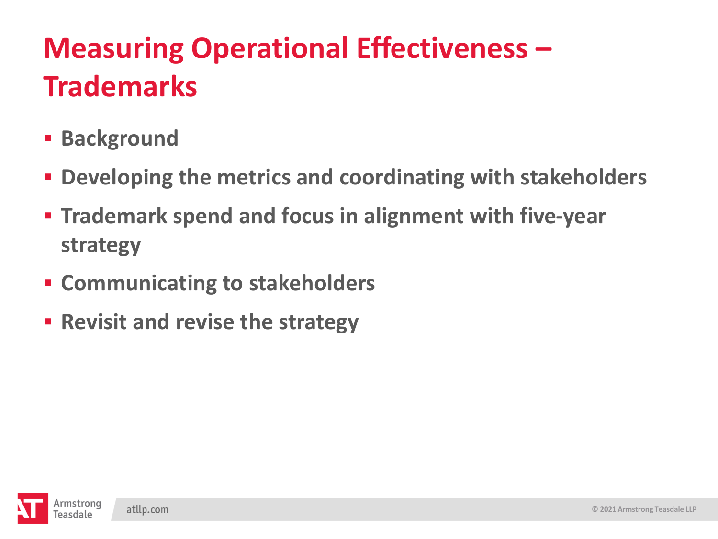### **Measuring Operational Effectiveness – Trademarks**

- **E** Background
- **Developing the metrics and coordinating with stakeholders**
- **Trademark spend and focus in alignment with five-year strategy**
- **Communicating to stakeholders**
- **Revisit and revise the strategy**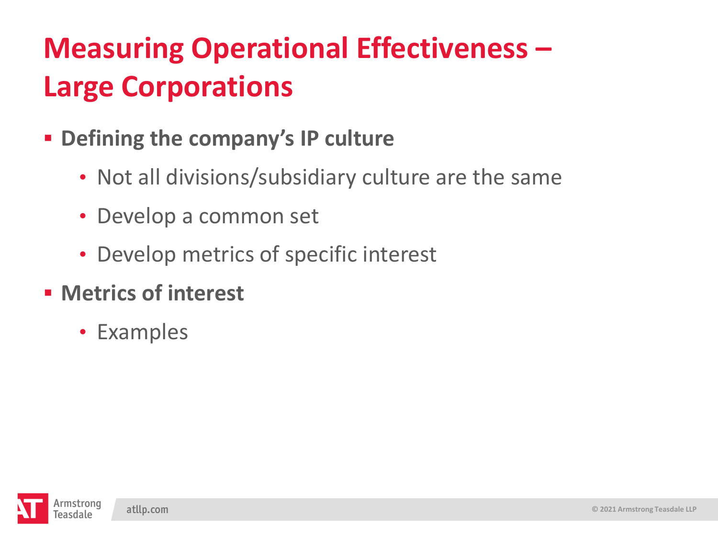### **Measuring Operational Effectiveness – Large Corporations**

- **Defining the company's IP culture**
	- Not all divisions/subsidiary culture are the same
	- Develop a common set
	- Develop metrics of specific interest
- **Metrics of interest**
	- Examples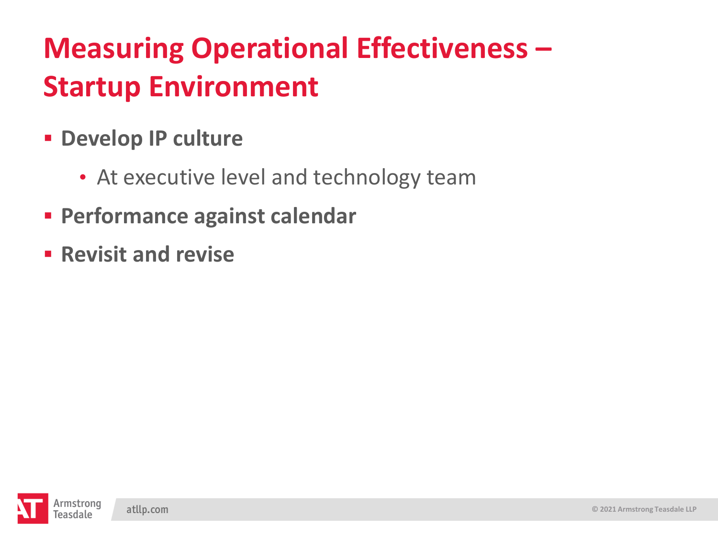### **Measuring Operational Effectiveness – Startup Environment**

- **Develop IP culture**
	- At executive level and technology team
- **Performance against calendar**
- **Revisit and revise**

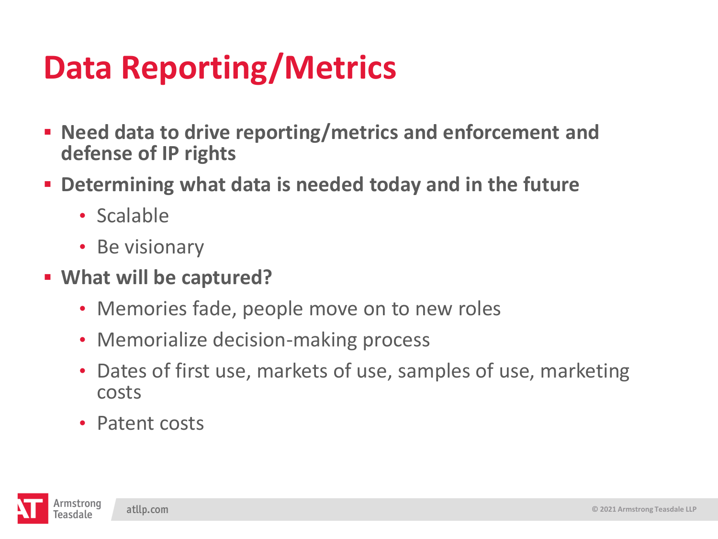# **Data Reporting/Metrics**

- **Need data to drive reporting/metrics and enforcement and defense of IP rights**
- **EXTERF III Determining what data is needed today and in the future** 
	- Scalable
	- Be visionary
- **What will be captured?**
	- Memories fade, people move on to new roles
	- Memorialize decision-making process
	- Dates of first use, markets of use, samples of use, marketing costs
	- Patent costs

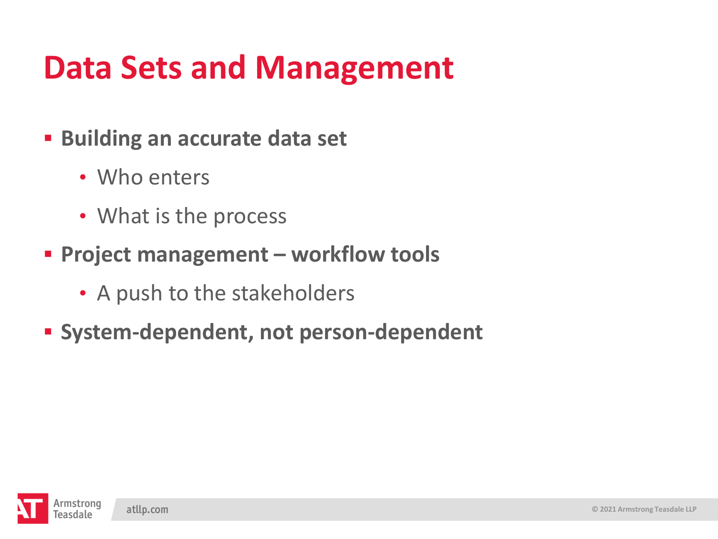## **Data Sets and Management**

- **Building an accurate data set** 
	- Who enters
	- What is the process
- **Project management – workflow tools** 
	- A push to the stakeholders
- **System-dependent, not person-dependent**

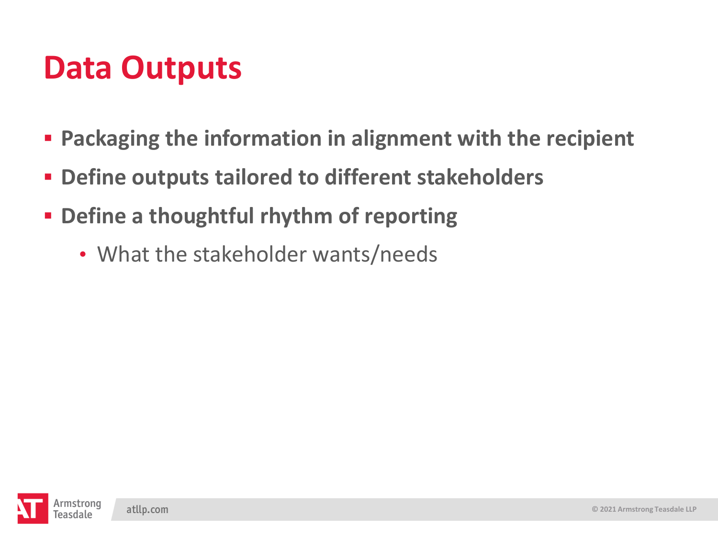### **Data Outputs**

- **Packaging the information in alignment with the recipient**
- **Define outputs tailored to different stakeholders**
- **Define a thoughtful rhythm of reporting** 
	- What the stakeholder wants/needs

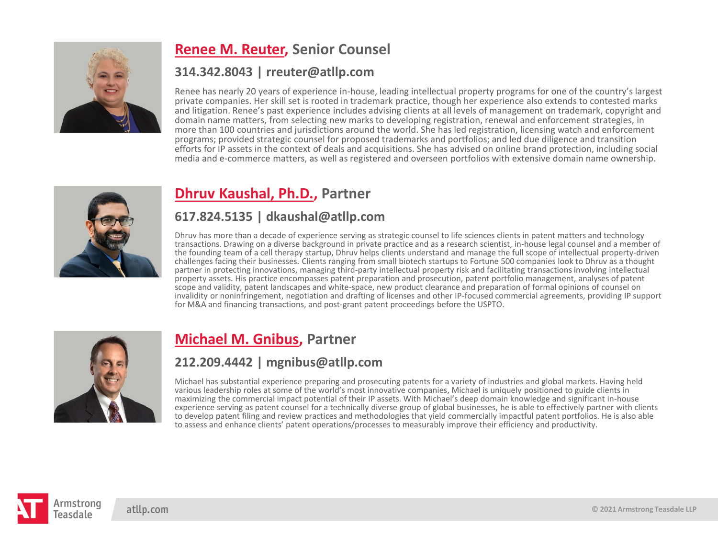

#### **[Renee M. Reuter,](https://www.armstrongteasdale.com/renee-reuter/) Senior Counsel**

#### **314.342.8043 | rreuter@atllp.com**

Renee has nearly 20 years of experience in-house, leading intellectual property programs for one of the country's largest private companies. Her skill set is rooted in trademark practice, though her experience also extends to contested marks and litigation. Renee's past experience includes advising clients at all levels of management on trademark, copyright and domain name matters, from selecting new marks to developing registration, renewal and enforcement strategies, in more than 100 countries and jurisdictions around the world. She has led registration, licensing watch and enforcement programs; provided strategic counsel for proposed trademarks and portfolios; and led due diligence and transition efforts for IP assets in the context of deals and acquisitions. She has advised on online brand protection, including social media and e-commerce matters, as well as registered and overseen portfolios with extensive domain name ownership.



#### **[Dhruv Kaushal, Ph.D.,](https://www.armstrongteasdale.com/dhruv-kaushal/) Partner**

#### **617.824.5135 | dkaushal@atllp.com**

Dhruv has more than a decade of experience serving as strategic counsel to life sciences clients in patent matters and technology transactions. Drawing on a diverse background in private practice and as a research scientist, in-house legal counsel and a member of the founding team of a cell therapy startup, Dhruv helps clients understand and manage the full scope of intellectual property-driven challenges facing their businesses. Clients ranging from small biotech startups to Fortune 500 companies look to Dhruv as a thought partner in protecting innovations, managing third-party intellectual property risk and facilitating transactions involving intellectual property assets. His practice encompasses patent preparation and prosecution, patent portfolio management, analyses of patent scope and validity, patent landscapes and white-space, new product clearance and preparation of formal opinions of counsel on invalidity or noninfringement, negotiation and drafting of licenses and other IP-focused commercial agreements, providing IP support for M&A and financing transactions, and post-grant patent proceedings before the USPTO.



#### **[Michael M. Gnibus,](https://www.armstrongteasdale.com/michael-gnibus/) Partner**

#### **212.209.4442 | mgnibus@atllp.com**

Michael has substantial experience preparing and prosecuting patents for a variety of industries and global markets. Having held various leadership roles at some of the world's most innovative companies, Michael is uniquely positioned to guide clients in maximizing the commercial impact potential of their IP assets. With Michael's deep domain knowledge and significant in-house experience serving as patent counsel for a technically diverse group of global businesses, he is able to effectively partner with clients to develop patent filing and review practices and methodologies that yield commercially impactful patent portfolios. He is also able to assess and enhance clients' patent operations/processes to measurably improve their efficiency and productivity.

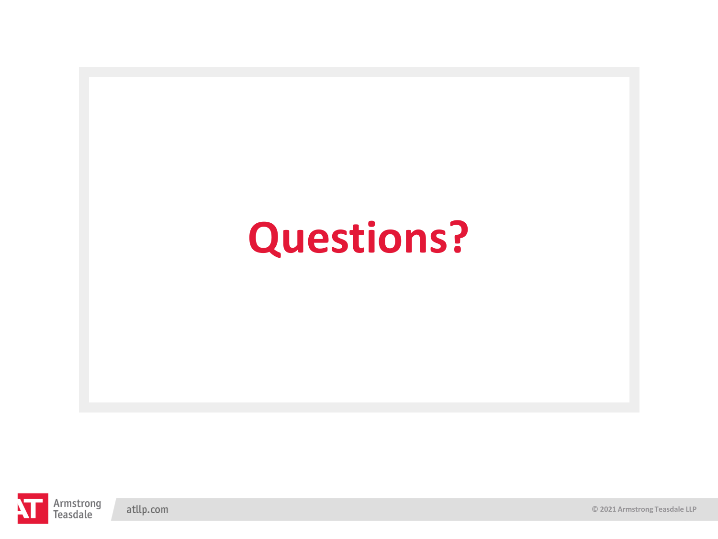# **Questions?**



**© 2021 Armstrong Teasdale LLP**